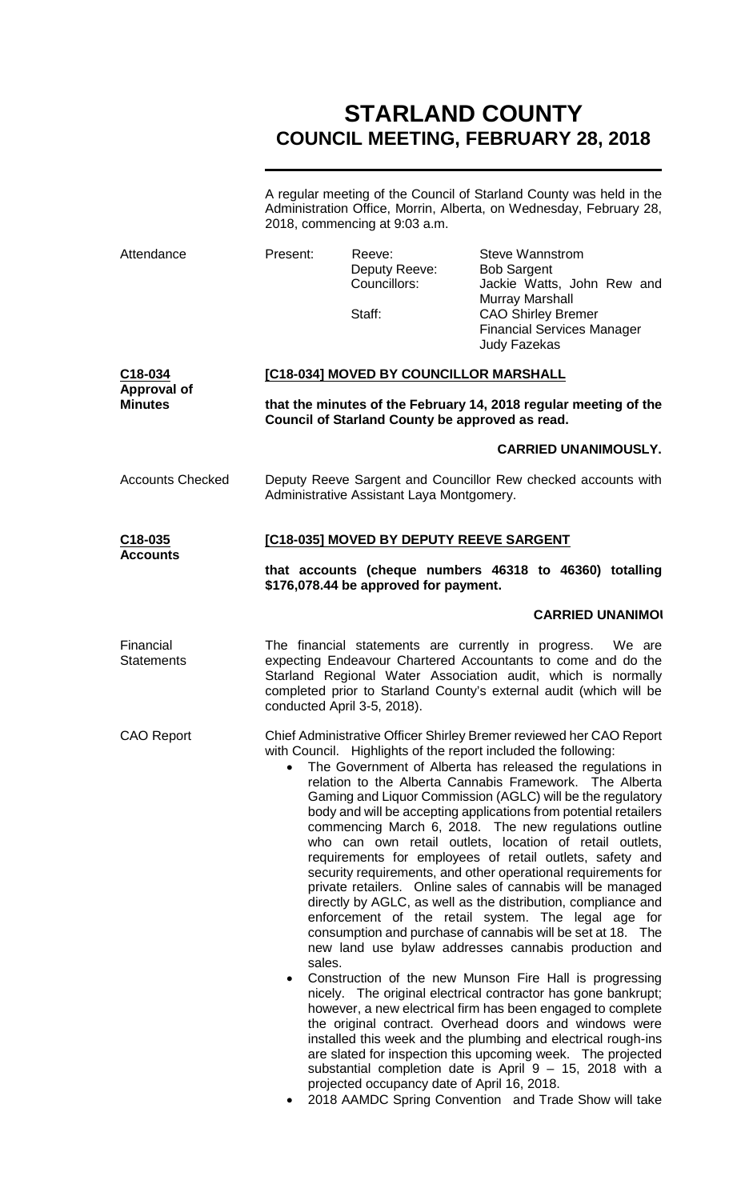# **STARLAND COUNTY COUNCIL MEETING, FEBRUARY 28, 2018**

A regular meeting of the Council of Starland County was held in the Administration Office, Morrin, Alberta, on Wednesday, February 28, 2018, commencing at 9:03 a.m.

| Attendance                                      | Present:                                                                                                                                                                                                                                                                                                                                                                                                                                                                                                                                                                                                                                                                                                                                                                                                                                                                                                                                                                                                                                                                                                                                                                                                                                                                                                                                                                                                                                                                              | Reeve:<br>Deputy Reeve:<br>Councillors:<br>Staff: | <b>Steve Wannstrom</b><br><b>Bob Sargent</b><br>Jackie Watts, John Rew and<br><b>Murray Marshall</b><br><b>CAO Shirley Bremer</b><br><b>Financial Services Manager</b><br><b>Judy Fazekas</b> |  |
|-------------------------------------------------|---------------------------------------------------------------------------------------------------------------------------------------------------------------------------------------------------------------------------------------------------------------------------------------------------------------------------------------------------------------------------------------------------------------------------------------------------------------------------------------------------------------------------------------------------------------------------------------------------------------------------------------------------------------------------------------------------------------------------------------------------------------------------------------------------------------------------------------------------------------------------------------------------------------------------------------------------------------------------------------------------------------------------------------------------------------------------------------------------------------------------------------------------------------------------------------------------------------------------------------------------------------------------------------------------------------------------------------------------------------------------------------------------------------------------------------------------------------------------------------|---------------------------------------------------|-----------------------------------------------------------------------------------------------------------------------------------------------------------------------------------------------|--|
| C18-034<br><b>Approval of</b><br><b>Minutes</b> | [C18-034] MOVED BY COUNCILLOR MARSHALL<br>that the minutes of the February 14, 2018 regular meeting of the<br>Council of Starland County be approved as read.                                                                                                                                                                                                                                                                                                                                                                                                                                                                                                                                                                                                                                                                                                                                                                                                                                                                                                                                                                                                                                                                                                                                                                                                                                                                                                                         |                                                   |                                                                                                                                                                                               |  |
|                                                 |                                                                                                                                                                                                                                                                                                                                                                                                                                                                                                                                                                                                                                                                                                                                                                                                                                                                                                                                                                                                                                                                                                                                                                                                                                                                                                                                                                                                                                                                                       |                                                   | <b>CARRIED UNANIMOUSLY.</b>                                                                                                                                                                   |  |
| <b>Accounts Checked</b>                         | Deputy Reeve Sargent and Councillor Rew checked accounts with<br>Administrative Assistant Laya Montgomery.                                                                                                                                                                                                                                                                                                                                                                                                                                                                                                                                                                                                                                                                                                                                                                                                                                                                                                                                                                                                                                                                                                                                                                                                                                                                                                                                                                            |                                                   |                                                                                                                                                                                               |  |
| C18-035<br><b>Accounts</b>                      | [C18-035] MOVED BY DEPUTY REEVE SARGENT                                                                                                                                                                                                                                                                                                                                                                                                                                                                                                                                                                                                                                                                                                                                                                                                                                                                                                                                                                                                                                                                                                                                                                                                                                                                                                                                                                                                                                               |                                                   |                                                                                                                                                                                               |  |
|                                                 | that accounts (cheque numbers 46318 to 46360) totalling<br>\$176,078.44 be approved for payment.                                                                                                                                                                                                                                                                                                                                                                                                                                                                                                                                                                                                                                                                                                                                                                                                                                                                                                                                                                                                                                                                                                                                                                                                                                                                                                                                                                                      |                                                   |                                                                                                                                                                                               |  |
|                                                 |                                                                                                                                                                                                                                                                                                                                                                                                                                                                                                                                                                                                                                                                                                                                                                                                                                                                                                                                                                                                                                                                                                                                                                                                                                                                                                                                                                                                                                                                                       |                                                   | <b>CARRIED UNANIMO!</b>                                                                                                                                                                       |  |
| Financial<br><b>Statements</b>                  | The financial statements are currently in progress. We are<br>expecting Endeavour Chartered Accountants to come and do the<br>Starland Regional Water Association audit, which is normally<br>completed prior to Starland County's external audit (which will be<br>conducted April 3-5, 2018).                                                                                                                                                                                                                                                                                                                                                                                                                                                                                                                                                                                                                                                                                                                                                                                                                                                                                                                                                                                                                                                                                                                                                                                       |                                                   |                                                                                                                                                                                               |  |
| <b>CAO Report</b>                               | Chief Administrative Officer Shirley Bremer reviewed her CAO Report<br>with Council. Highlights of the report included the following:<br>The Government of Alberta has released the regulations in<br>$\bullet$<br>relation to the Alberta Cannabis Framework. The Alberta<br>Gaming and Liquor Commission (AGLC) will be the regulatory<br>body and will be accepting applications from potential retailers<br>commencing March 6, 2018. The new regulations outline<br>who can own retail outlets, location of retail outlets,<br>requirements for employees of retail outlets, safety and<br>security requirements, and other operational requirements for<br>private retailers. Online sales of cannabis will be managed<br>directly by AGLC, as well as the distribution, compliance and<br>enforcement of the retail system. The legal age for<br>consumption and purchase of cannabis will be set at 18. The<br>new land use bylaw addresses cannabis production and<br>sales.<br>Construction of the new Munson Fire Hall is progressing<br>nicely. The original electrical contractor has gone bankrupt;<br>however, a new electrical firm has been engaged to complete<br>the original contract. Overhead doors and windows were<br>installed this week and the plumbing and electrical rough-ins<br>are slated for inspection this upcoming week. The projected<br>substantial completion date is April 9 - 15, 2018 with a<br>projected occupancy date of April 16, 2018. |                                                   |                                                                                                                                                                                               |  |

• 2018 AAMDC Spring Convention and Trade Show will take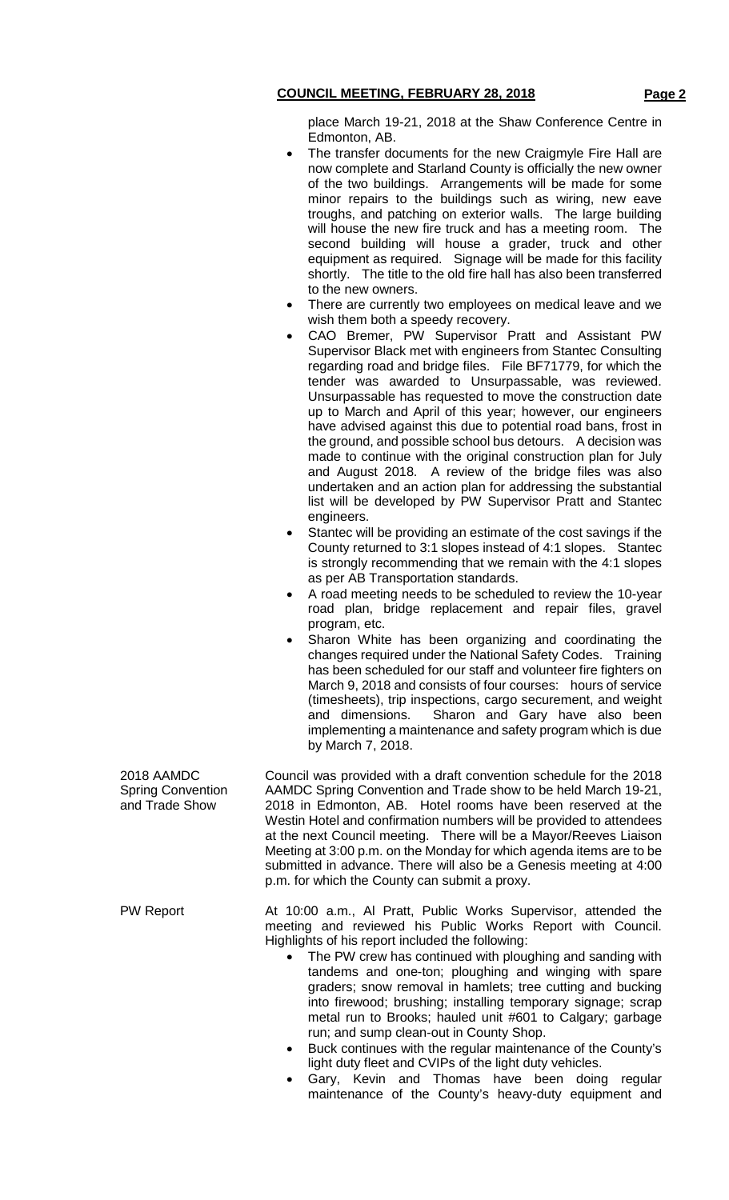place March 19-21, 2018 at the Shaw Conference Centre in Edmonton, AB.

- The transfer documents for the new Craigmyle Fire Hall are now complete and Starland County is officially the new owner of the two buildings. Arrangements will be made for some minor repairs to the buildings such as wiring, new eave troughs, and patching on exterior walls. The large building will house the new fire truck and has a meeting room. The second building will house a grader, truck and other equipment as required. Signage will be made for this facility shortly. The title to the old fire hall has also been transferred to the new owners.
- There are currently two employees on medical leave and we wish them both a speedy recovery.
- CAO Bremer, PW Supervisor Pratt and Assistant PW Supervisor Black met with engineers from Stantec Consulting regarding road and bridge files. File BF71779, for which the tender was awarded to Unsurpassable, was reviewed. Unsurpassable has requested to move the construction date up to March and April of this year; however, our engineers have advised against this due to potential road bans, frost in the ground, and possible school bus detours. A decision was made to continue with the original construction plan for July and August 2018. A review of the bridge files was also undertaken and an action plan for addressing the substantial list will be developed by PW Supervisor Pratt and Stantec engineers.
- Stantec will be providing an estimate of the cost savings if the County returned to 3:1 slopes instead of 4:1 slopes. Stantec is strongly recommending that we remain with the 4:1 slopes as per AB Transportation standards.
- A road meeting needs to be scheduled to review the 10-year road plan, bridge replacement and repair files, gravel program, etc.
- Sharon White has been organizing and coordinating the changes required under the National Safety Codes. Training has been scheduled for our staff and volunteer fire fighters on March 9, 2018 and consists of four courses: hours of service (timesheets), trip inspections, cargo securement, and weight and dimensions. Sharon and Gary have also been implementing a maintenance and safety program which is due by March 7, 2018.

2018 AAMDC Council was provided with a draft convention schedule for the 2018 AAMDC Spring Convention and Trade show to be held March 19-21, 2018 in Edmonton, AB. Hotel rooms have been reserved at the Westin Hotel and confirmation numbers will be provided to attendees at the next Council meeting. There will be a Mayor/Reeves Liaison Meeting at 3:00 p.m. on the Monday for which agenda items are to be submitted in advance. There will also be a Genesis meeting at 4:00 p.m. for which the County can submit a proxy.

PW Report **At 10:00 a.m., Al Pratt, Public Works Supervisor, attended the** meeting and reviewed his Public Works Report with Council. Highlights of his report included the following:

- The PW crew has continued with ploughing and sanding with tandems and one-ton; ploughing and winging with spare graders; snow removal in hamlets; tree cutting and bucking into firewood; brushing; installing temporary signage; scrap metal run to Brooks; hauled unit #601 to Calgary; garbage run; and sump clean-out in County Shop.
- Buck continues with the regular maintenance of the County's light duty fleet and CVIPs of the light duty vehicles.
- Gary, Kevin and Thomas have been doing regular maintenance of the County's heavy-duty equipment and

Spring Convention and Trade Show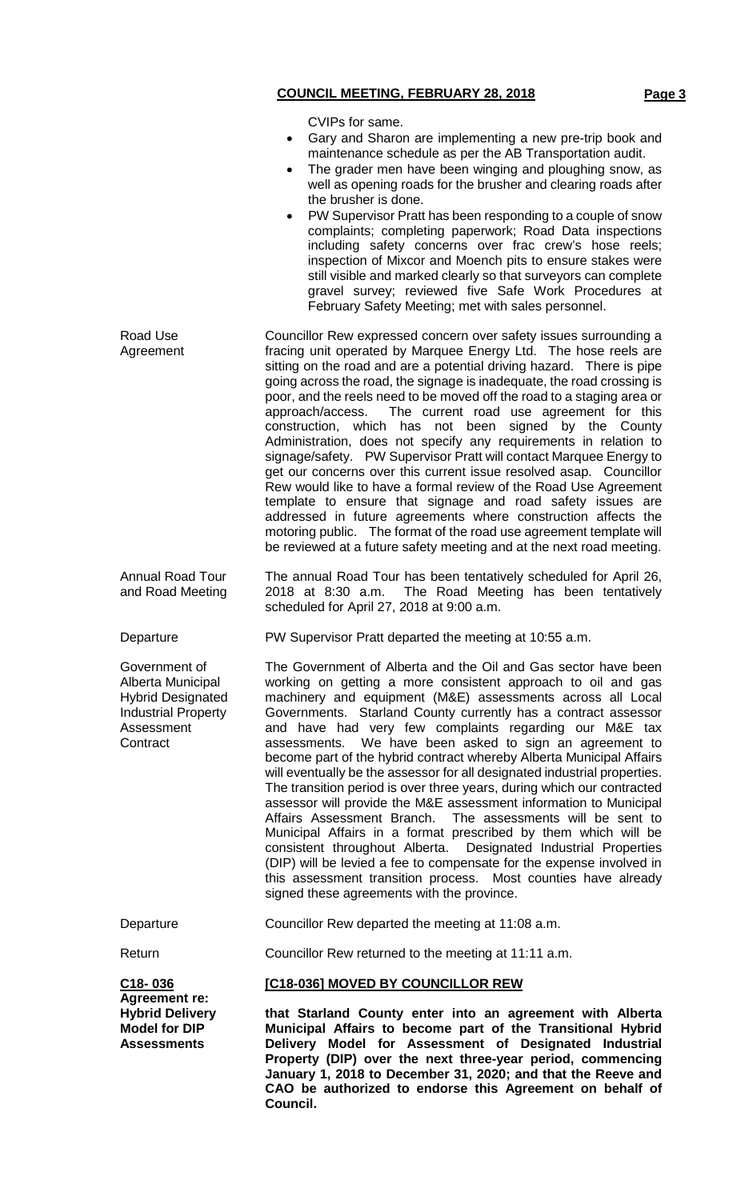#### **COUNCIL MEETING, FEBRUARY 28, 2018 Page 3** CVIPs for same. • Gary and Sharon are implementing a new pre-trip book and maintenance schedule as per the AB Transportation audit. The grader men have been winging and ploughing snow, as well as opening roads for the brusher and clearing roads after the brusher is done. • PW Supervisor Pratt has been responding to a couple of snow complaints; completing paperwork; Road Data inspections including safety concerns over frac crew's hose reels; inspection of Mixcor and Moench pits to ensure stakes were still visible and marked clearly so that surveyors can complete gravel survey; reviewed five Safe Work Procedures at February Safety Meeting; met with sales personnel. Road Use Agreement Councillor Rew expressed concern over safety issues surrounding a fracing unit operated by Marquee Energy Ltd. The hose reels are sitting on the road and are a potential driving hazard. There is pipe going across the road, the signage is inadequate, the road crossing is poor, and the reels need to be moved off the road to a staging area or approach/access. The current road use agreement for this construction, which has not been signed by the County Administration, does not specify any requirements in relation to signage/safety. PW Supervisor Pratt will contact Marquee Energy to get our concerns over this current issue resolved asap. Councillor Rew would like to have a formal review of the Road Use Agreement template to ensure that signage and road safety issues are addressed in future agreements where construction affects the motoring public. The format of the road use agreement template will be reviewed at a future safety meeting and at the next road meeting. Annual Road Tour and Road Meeting The annual Road Tour has been tentatively scheduled for April 26, 2018 at 8:30 a.m. The Road Meeting has been tentatively scheduled for April 27, 2018 at 9:00 a.m. Departure PW Supervisor Pratt departed the meeting at 10:55 a.m. Government of Alberta Municipal Hybrid Designated Industrial Property Assessment **Contract** The Government of Alberta and the Oil and Gas sector have been working on getting a more consistent approach to oil and gas machinery and equipment (M&E) assessments across all Local Governments. Starland County currently has a contract assessor and have had very few complaints regarding our M&E tax assessments. We have been asked to sign an agreement to become part of the hybrid contract whereby Alberta Municipal Affairs will eventually be the assessor for all designated industrial properties. The transition period is over three years, during which our contracted assessor will provide the M&E assessment information to Municipal Affairs Assessment Branch. The assessments will be sent to Municipal Affairs in a format prescribed by them which will be consistent throughout Alberta. Designated Industrial Properties (DIP) will be levied a fee to compensate for the expense involved in this assessment transition process. Most counties have already signed these agreements with the province. Departure Councillor Rew departed the meeting at 11:08 a.m. Return **Councillor Rew returned to the meeting at 11:11 a.m.**

**[C18-036] MOVED BY COUNCILLOR REW**

**C18- 036**

**Agreement re: Hybrid Delivery Model for DIP Assessments**

**that Starland County enter into an agreement with Alberta Municipal Affairs to become part of the Transitional Hybrid Delivery Model for Assessment of Designated Industrial Property (DIP) over the next three-year period, commencing January 1, 2018 to December 31, 2020; and that the Reeve and CAO be authorized to endorse this Agreement on behalf of Council.**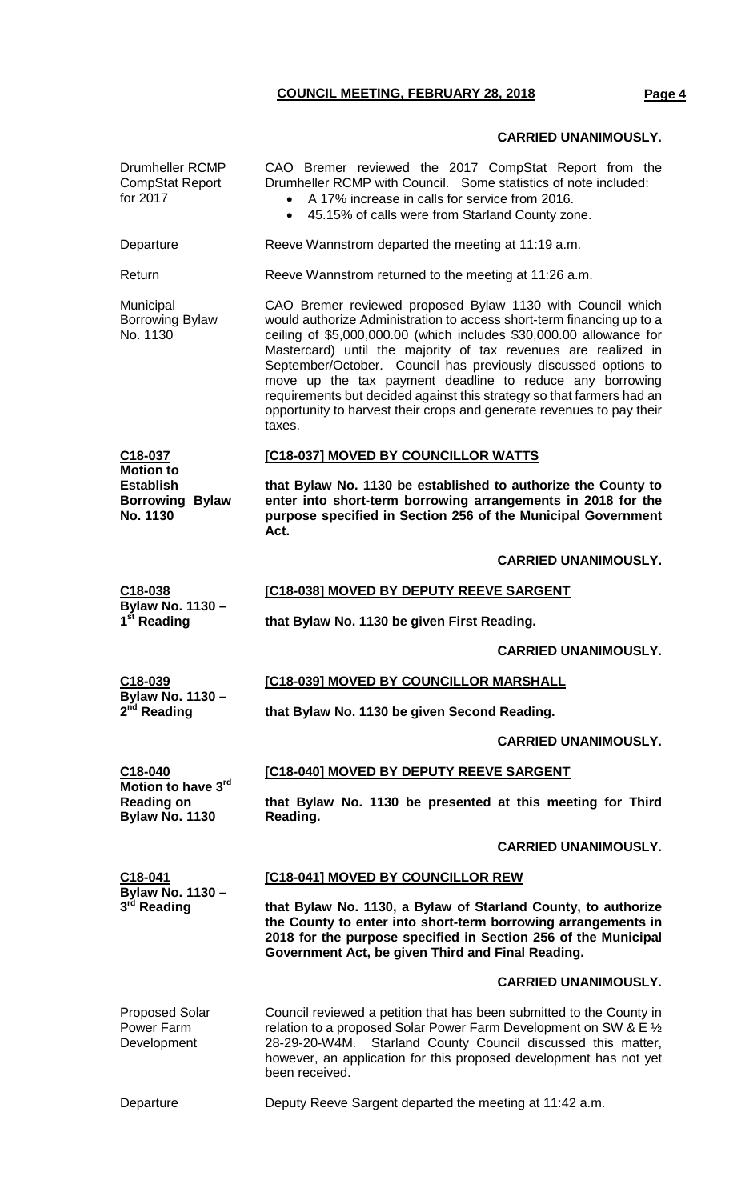# **COUNCIL MEETING, FEBRUARY 28, 2018 Page 4**

# **CARRIED UNANIMOUSLY.**

| Drumheller RCMP<br><b>CompStat Report</b><br>for 2017                                 | CAO Bremer reviewed the 2017 CompStat Report from the<br>Drumheller RCMP with Council. Some statistics of note included:<br>A 17% increase in calls for service from 2016.<br>45.15% of calls were from Starland County zone.                                                                                                                                                                                                                                                                                                                                          |  |  |  |
|---------------------------------------------------------------------------------------|------------------------------------------------------------------------------------------------------------------------------------------------------------------------------------------------------------------------------------------------------------------------------------------------------------------------------------------------------------------------------------------------------------------------------------------------------------------------------------------------------------------------------------------------------------------------|--|--|--|
| Departure                                                                             | Reeve Wannstrom departed the meeting at 11:19 a.m.                                                                                                                                                                                                                                                                                                                                                                                                                                                                                                                     |  |  |  |
| Return                                                                                | Reeve Wannstrom returned to the meeting at 11:26 a.m.                                                                                                                                                                                                                                                                                                                                                                                                                                                                                                                  |  |  |  |
| Municipal<br><b>Borrowing Bylaw</b><br>No. 1130                                       | CAO Bremer reviewed proposed Bylaw 1130 with Council which<br>would authorize Administration to access short-term financing up to a<br>ceiling of \$5,000,000.00 (which includes \$30,000.00 allowance for<br>Mastercard) until the majority of tax revenues are realized in<br>September/October. Council has previously discussed options to<br>move up the tax payment deadline to reduce any borrowing<br>requirements but decided against this strategy so that farmers had an<br>opportunity to harvest their crops and generate revenues to pay their<br>taxes. |  |  |  |
| C18-037<br><b>Motion to</b><br><b>Establish</b><br><b>Borrowing Bylaw</b><br>No. 1130 | [C18-037] MOVED BY COUNCILLOR WATTS                                                                                                                                                                                                                                                                                                                                                                                                                                                                                                                                    |  |  |  |
|                                                                                       | that Bylaw No. 1130 be established to authorize the County to<br>enter into short-term borrowing arrangements in 2018 for the<br>purpose specified in Section 256 of the Municipal Government<br>Act.                                                                                                                                                                                                                                                                                                                                                                  |  |  |  |
|                                                                                       | <b>CARRIED UNANIMOUSLY.</b>                                                                                                                                                                                                                                                                                                                                                                                                                                                                                                                                            |  |  |  |
| C18-038                                                                               | [C18-038] MOVED BY DEPUTY REEVE SARGENT                                                                                                                                                                                                                                                                                                                                                                                                                                                                                                                                |  |  |  |
| Bylaw No. 1130 -<br>1 <sup>st</sup> Reading                                           | that Bylaw No. 1130 be given First Reading.                                                                                                                                                                                                                                                                                                                                                                                                                                                                                                                            |  |  |  |
|                                                                                       | <b>CARRIED UNANIMOUSLY.</b>                                                                                                                                                                                                                                                                                                                                                                                                                                                                                                                                            |  |  |  |
| <u>C18-039</u><br><b>Bylaw No. 1130 -</b><br>2 <sup>nd</sup> Reading                  | [C18-039] MOVED BY COUNCILLOR MARSHALL                                                                                                                                                                                                                                                                                                                                                                                                                                                                                                                                 |  |  |  |
|                                                                                       | that Bylaw No. 1130 be given Second Reading.                                                                                                                                                                                                                                                                                                                                                                                                                                                                                                                           |  |  |  |
|                                                                                       | <b>CARRIED UNANIMOUSLY.</b>                                                                                                                                                                                                                                                                                                                                                                                                                                                                                                                                            |  |  |  |
| C18-040                                                                               | [C18-040] MOVED BY DEPUTY REEVE SARGENT                                                                                                                                                                                                                                                                                                                                                                                                                                                                                                                                |  |  |  |
| Motion to have 3rd<br><b>Reading on</b><br><b>Bylaw No. 1130</b>                      | that Bylaw No. 1130 be presented at this meeting for Third<br>Reading.                                                                                                                                                                                                                                                                                                                                                                                                                                                                                                 |  |  |  |
|                                                                                       | <b>CARRIED UNANIMOUSLY.</b>                                                                                                                                                                                                                                                                                                                                                                                                                                                                                                                                            |  |  |  |
| $C18-041$<br>Bylaw No. 1130 -<br>3 <sup>rd</sup> Reading                              | [C18-041] MOVED BY COUNCILLOR REW                                                                                                                                                                                                                                                                                                                                                                                                                                                                                                                                      |  |  |  |
|                                                                                       | that Bylaw No. 1130, a Bylaw of Starland County, to authorize<br>the County to enter into short-term borrowing arrangements in<br>2018 for the purpose specified in Section 256 of the Municipal<br>Government Act, be given Third and Final Reading.                                                                                                                                                                                                                                                                                                                  |  |  |  |
|                                                                                       | <b>CARRIED UNANIMOUSLY.</b>                                                                                                                                                                                                                                                                                                                                                                                                                                                                                                                                            |  |  |  |
| <b>Proposed Solar</b><br>Power Farm<br>Development                                    | Council reviewed a petition that has been submitted to the County in<br>relation to a proposed Solar Power Farm Development on SW & E 1/2<br>Starland County Council discussed this matter,<br>28-29-20-W4M.<br>however, an application for this proposed development has not yet<br>been received.                                                                                                                                                                                                                                                                    |  |  |  |
| Departure                                                                             | Deputy Reeve Sargent departed the meeting at 11:42 a.m.                                                                                                                                                                                                                                                                                                                                                                                                                                                                                                                |  |  |  |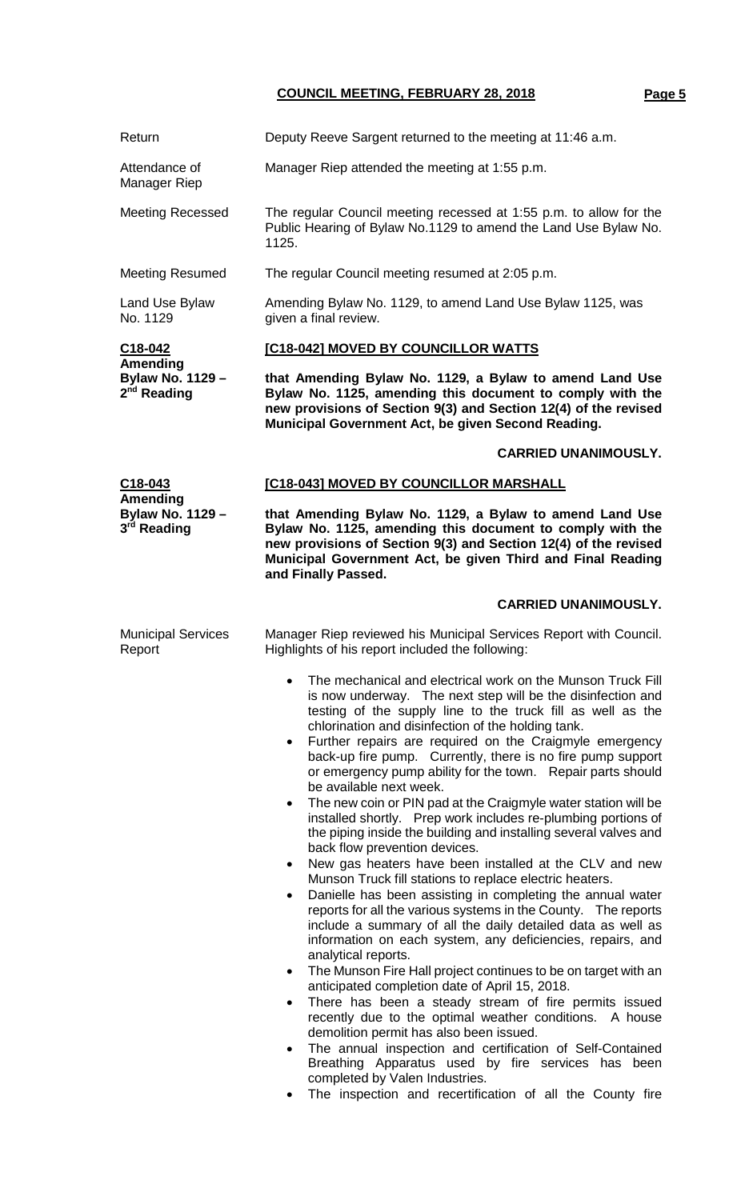**COUNCIL MEETING, FEBRUARY 28, 2018 Page 5**

| Return                                                             | Deputy Reeve Sargent returned to the meeting at 11:46 a.m.                                                                                                                                                                                                                                                                                                                                                                                                                                                                                                                                                                                                                                                                                                                                                                                                                                                                                                                                                                                                                                                                                                                                                                                                                                                                                                                                                                                                                                                                                                                               |  |  |  |
|--------------------------------------------------------------------|------------------------------------------------------------------------------------------------------------------------------------------------------------------------------------------------------------------------------------------------------------------------------------------------------------------------------------------------------------------------------------------------------------------------------------------------------------------------------------------------------------------------------------------------------------------------------------------------------------------------------------------------------------------------------------------------------------------------------------------------------------------------------------------------------------------------------------------------------------------------------------------------------------------------------------------------------------------------------------------------------------------------------------------------------------------------------------------------------------------------------------------------------------------------------------------------------------------------------------------------------------------------------------------------------------------------------------------------------------------------------------------------------------------------------------------------------------------------------------------------------------------------------------------------------------------------------------------|--|--|--|
| Attendance of<br>Manager Riep                                      | Manager Riep attended the meeting at 1:55 p.m.                                                                                                                                                                                                                                                                                                                                                                                                                                                                                                                                                                                                                                                                                                                                                                                                                                                                                                                                                                                                                                                                                                                                                                                                                                                                                                                                                                                                                                                                                                                                           |  |  |  |
| <b>Meeting Recessed</b>                                            | The regular Council meeting recessed at 1:55 p.m. to allow for the<br>Public Hearing of Bylaw No.1129 to amend the Land Use Bylaw No.<br>1125.                                                                                                                                                                                                                                                                                                                                                                                                                                                                                                                                                                                                                                                                                                                                                                                                                                                                                                                                                                                                                                                                                                                                                                                                                                                                                                                                                                                                                                           |  |  |  |
| <b>Meeting Resumed</b>                                             | The regular Council meeting resumed at 2:05 p.m.                                                                                                                                                                                                                                                                                                                                                                                                                                                                                                                                                                                                                                                                                                                                                                                                                                                                                                                                                                                                                                                                                                                                                                                                                                                                                                                                                                                                                                                                                                                                         |  |  |  |
| Land Use Bylaw<br>No. 1129                                         | Amending Bylaw No. 1129, to amend Land Use Bylaw 1125, was<br>given a final review.                                                                                                                                                                                                                                                                                                                                                                                                                                                                                                                                                                                                                                                                                                                                                                                                                                                                                                                                                                                                                                                                                                                                                                                                                                                                                                                                                                                                                                                                                                      |  |  |  |
| C18-042<br>Amending<br>Bylaw No. 1129 -<br>2 <sup>nd</sup> Reading | [C18-042] MOVED BY COUNCILLOR WATTS                                                                                                                                                                                                                                                                                                                                                                                                                                                                                                                                                                                                                                                                                                                                                                                                                                                                                                                                                                                                                                                                                                                                                                                                                                                                                                                                                                                                                                                                                                                                                      |  |  |  |
|                                                                    | that Amending Bylaw No. 1129, a Bylaw to amend Land Use<br>Bylaw No. 1125, amending this document to comply with the<br>new provisions of Section 9(3) and Section 12(4) of the revised<br>Municipal Government Act, be given Second Reading.                                                                                                                                                                                                                                                                                                                                                                                                                                                                                                                                                                                                                                                                                                                                                                                                                                                                                                                                                                                                                                                                                                                                                                                                                                                                                                                                            |  |  |  |
|                                                                    | <b>CARRIED UNANIMOUSLY.</b>                                                                                                                                                                                                                                                                                                                                                                                                                                                                                                                                                                                                                                                                                                                                                                                                                                                                                                                                                                                                                                                                                                                                                                                                                                                                                                                                                                                                                                                                                                                                                              |  |  |  |
| $C18 - 043$                                                        | [C18-043] MOVED BY COUNCILLOR MARSHALL                                                                                                                                                                                                                                                                                                                                                                                                                                                                                                                                                                                                                                                                                                                                                                                                                                                                                                                                                                                                                                                                                                                                                                                                                                                                                                                                                                                                                                                                                                                                                   |  |  |  |
| Amending<br>Bylaw No. 1129 -<br>3 <sup>rd</sup> Reading            | that Amending Bylaw No. 1129, a Bylaw to amend Land Use<br>Bylaw No. 1125, amending this document to comply with the<br>new provisions of Section 9(3) and Section 12(4) of the revised<br>Municipal Government Act, be given Third and Final Reading<br>and Finally Passed.                                                                                                                                                                                                                                                                                                                                                                                                                                                                                                                                                                                                                                                                                                                                                                                                                                                                                                                                                                                                                                                                                                                                                                                                                                                                                                             |  |  |  |
|                                                                    | <b>CARRIED UNANIMOUSLY.</b>                                                                                                                                                                                                                                                                                                                                                                                                                                                                                                                                                                                                                                                                                                                                                                                                                                                                                                                                                                                                                                                                                                                                                                                                                                                                                                                                                                                                                                                                                                                                                              |  |  |  |
| <b>Municipal Services</b><br>Report                                | Manager Riep reviewed his Municipal Services Report with Council.<br>Highlights of his report included the following:                                                                                                                                                                                                                                                                                                                                                                                                                                                                                                                                                                                                                                                                                                                                                                                                                                                                                                                                                                                                                                                                                                                                                                                                                                                                                                                                                                                                                                                                    |  |  |  |
|                                                                    | The mechanical and electrical work on the Munson Truck Fill<br>is now underway. The next step will be the disinfection and<br>testing of the supply line to the truck fill as well as the<br>chlorination and disinfection of the holding tank.<br>Further repairs are required on the Craigmyle emergency<br>back-up fire pump. Currently, there is no fire pump support<br>or emergency pump ability for the town. Repair parts should<br>be available next week.<br>The new coin or PIN pad at the Craigmyle water station will be<br>installed shortly. Prep work includes re-plumbing portions of<br>the piping inside the building and installing several valves and<br>back flow prevention devices.<br>New gas heaters have been installed at the CLV and new<br>٠<br>Munson Truck fill stations to replace electric heaters.<br>Danielle has been assisting in completing the annual water<br>٠<br>reports for all the various systems in the County. The reports<br>include a summary of all the daily detailed data as well as<br>information on each system, any deficiencies, repairs, and<br>analytical reports.<br>The Munson Fire Hall project continues to be on target with an<br>$\bullet$<br>anticipated completion date of April 15, 2018.<br>There has been a steady stream of fire permits issued<br>٠<br>recently due to the optimal weather conditions. A house<br>demolition permit has also been issued.<br>The annual inspection and certification of Self-Contained<br>Breathing Apparatus used by fire services has been<br>completed by Valen Industries. |  |  |  |

• The inspection and recertification of all the County fire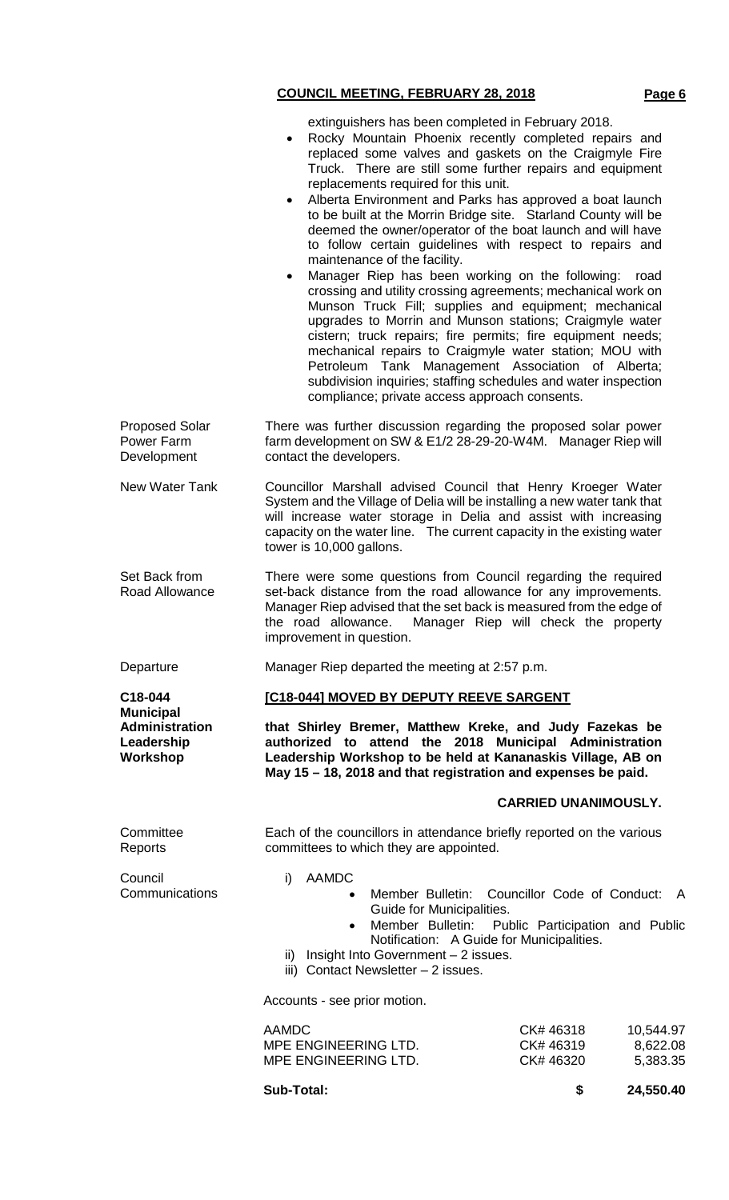### **COUNCIL MEETING, FEBRUARY 28, 2018 Page 6**

extinguishers has been completed in February 2018.

- Rocky Mountain Phoenix recently completed repairs and replaced some valves and gaskets on the Craigmyle Fire Truck. There are still some further repairs and equipment replacements required for this unit.
- Alberta Environment and Parks has approved a boat launch to be built at the Morrin Bridge site. Starland County will be deemed the owner/operator of the boat launch and will have to follow certain guidelines with respect to repairs and maintenance of the facility.
- Manager Riep has been working on the following: road crossing and utility crossing agreements; mechanical work on Munson Truck Fill; supplies and equipment; mechanical upgrades to Morrin and Munson stations; Craigmyle water cistern; truck repairs; fire permits; fire equipment needs; mechanical repairs to Craigmyle water station; MOU with Petroleum Tank Management Association of Alberta; subdivision inquiries; staffing schedules and water inspection compliance; private access approach consents.

Proposed Solar Power Farm **Development** There was further discussion regarding the proposed solar power farm development on SW & E1/2 28-29-20-W4M. Manager Riep will contact the developers.

New Water Tank Councillor Marshall advised Council that Henry Kroeger Water System and the Village of Delia will be installing a new water tank that will increase water storage in Delia and assist with increasing capacity on the water line. The current capacity in the existing water tower is 10,000 gallons.

Set Back from Road Allowance There were some questions from Council regarding the required set-back distance from the road allowance for any improvements. Manager Riep advised that the set back is measured from the edge of the road allowance. Manager Riep will check the property improvement in question.

Departure Manager Riep departed the meeting at 2:57 p.m.

#### **[C18-044] MOVED BY DEPUTY REEVE SARGENT**

**that Shirley Bremer, Matthew Kreke, and Judy Fazekas be authorized to attend the 2018 Municipal Administration Leadership Workshop to be held at Kananaskis Village, AB on May 15 – 18, 2018 and that registration and expenses be paid.**

#### **CARRIED UNANIMOUSLY.**

Each of the councillors in attendance briefly reported on the various committees to which they are appointed.

Council **Communications** 

**Committee** Reports

**C18-044 Municipal Administration Leadership Workshop**

i) AAMDC

- Member Bulletin: Councillor Code of Conduct: A Guide for Municipalities.
- Member Bulletin: Public Participation and Public Notification: A Guide for Municipalities.
- ii) Insight Into Government 2 issues.
- iii) Contact Newsletter 2 issues.

Accounts - see prior motion.

| CK# 46318 | 10.544.97 |
|-----------|-----------|
| CK# 46319 | 8,622.08  |
| CK# 46320 | 5.383.35  |
|           |           |

**Sub-Total: \$ 24,550.40**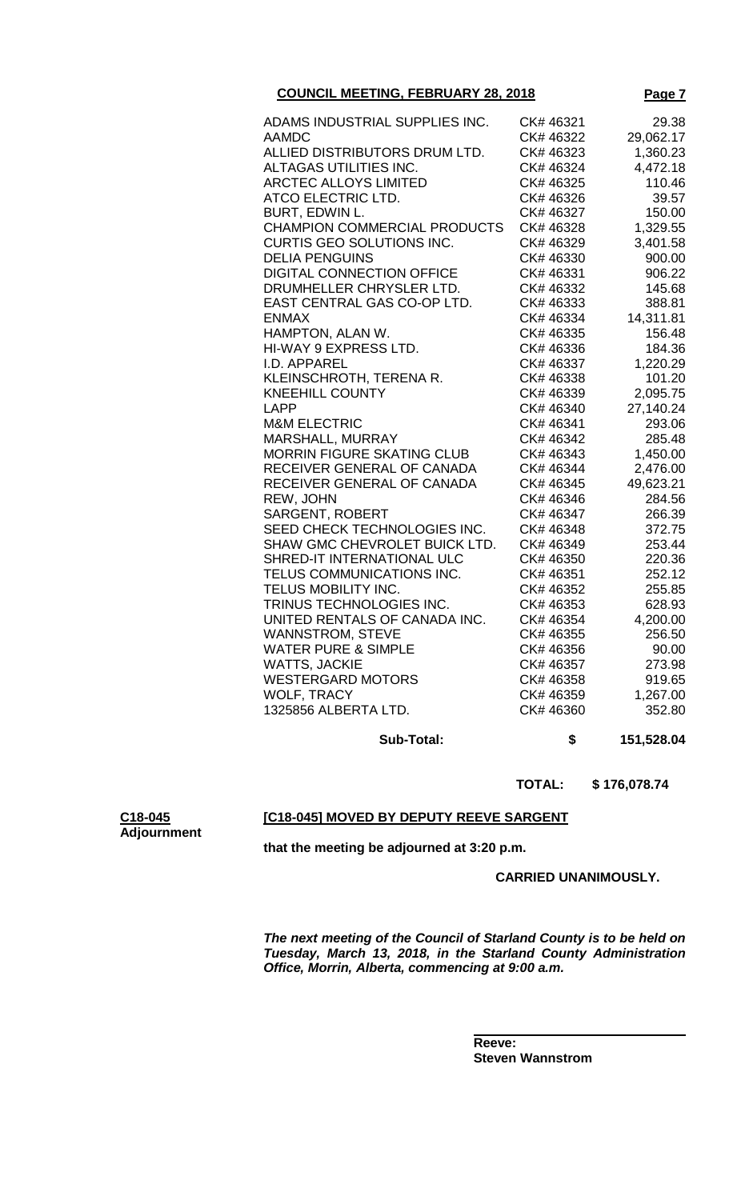| <b>COUNCIL MEETING, FEBRUARY 28, 2018</b> | Page 7 |
|-------------------------------------------|--------|
|                                           |        |

| ADAMS INDUSTRIAL SUPPLIES INC.      | CK# 46321 | 29.38     |
|-------------------------------------|-----------|-----------|
| <b>AAMDC</b>                        | CK# 46322 | 29,062.17 |
| ALLIED DISTRIBUTORS DRUM LTD.       | CK# 46323 | 1,360.23  |
| ALTAGAS UTILITIES INC.              | CK# 46324 | 4,472.18  |
| <b>ARCTEC ALLOYS LIMITED</b>        | CK# 46325 | 110.46    |
| ATCO ELECTRIC LTD.                  | CK# 46326 | 39.57     |
| BURT, EDWIN L.                      | CK# 46327 | 150.00    |
| <b>CHAMPION COMMERCIAL PRODUCTS</b> | CK# 46328 | 1,329.55  |
| CURTIS GEO SOLUTIONS INC.           | CK# 46329 | 3,401.58  |
| <b>DELIA PENGUINS</b>               | CK# 46330 | 900.00    |
| <b>DIGITAL CONNECTION OFFICE</b>    | CK# 46331 | 906.22    |
| DRUMHELLER CHRYSLER LTD.            | CK# 46332 | 145.68    |
| EAST CENTRAL GAS CO-OP LTD.         | CK# 46333 | 388.81    |
| <b>ENMAX</b>                        | CK# 46334 | 14,311.81 |
| HAMPTON, ALAN W.                    | CK# 46335 | 156.48    |
| <b>HI-WAY 9 EXPRESS LTD.</b>        | CK# 46336 | 184.36    |
| I.D. APPAREL                        | CK# 46337 | 1,220.29  |
| KLEINSCHROTH, TERENA R.             | CK# 46338 | 101.20    |
| <b>KNEEHILL COUNTY</b>              | CK# 46339 | 2,095.75  |
| <b>LAPP</b>                         | CK# 46340 | 27,140.24 |
| <b>M&amp;M ELECTRIC</b>             | CK# 46341 | 293.06    |
| MARSHALL, MURRAY                    | CK# 46342 | 285.48    |
| <b>MORRIN FIGURE SKATING CLUB</b>   | CK# 46343 | 1,450.00  |
| RECEIVER GENERAL OF CANADA          | CK# 46344 | 2,476.00  |
| RECEIVER GENERAL OF CANADA          | CK# 46345 | 49,623.21 |
| REW, JOHN                           | CK# 46346 | 284.56    |
| <b>SARGENT, ROBERT</b>              | CK# 46347 | 266.39    |
| SEED CHECK TECHNOLOGIES INC.        | CK# 46348 | 372.75    |
| SHAW GMC CHEVROLET BUICK LTD.       | CK# 46349 | 253.44    |
| SHRED-IT INTERNATIONAL ULC          | CK# 46350 | 220.36    |
| TELUS COMMUNICATIONS INC.           | CK# 46351 | 252.12    |
| TELUS MOBILITY INC.                 | CK# 46352 | 255.85    |
| TRINUS TECHNOLOGIES INC.            | CK# 46353 | 628.93    |
| UNITED RENTALS OF CANADA INC.       | CK# 46354 | 4,200.00  |
| <b>WANNSTROM, STEVE</b>             | CK# 46355 | 256.50    |
| <b>WATER PURE &amp; SIMPLE</b>      | CK# 46356 | 90.00     |
| <b>WATTS, JACKIE</b>                | CK# 46357 | 273.98    |
| <b>WESTERGARD MOTORS</b>            | CK# 46358 | 919.65    |
| WOLF, TRACY                         | CK# 46359 | 1,267.00  |
| 1325856 ALBERTA LTD.                | CK# 46360 | 352.80    |
|                                     |           |           |
|                                     |           |           |

**Sub-Total: \$ 151,528.04**

 **TOTAL: \$ 176,078.74**

# **[C18-045] MOVED BY DEPUTY REEVE SARGENT**

**that the meeting be adjourned at 3:20 p.m.**

**C18-045 Adjournment**

 **CARRIED UNANIMOUSLY.**

*The next meeting of the Council of Starland County is to be held on Tuesday, March 13, 2018, in the Starland County Administration Office, Morrin, Alberta, commencing at 9:00 a.m.*

**Reeve: Steven Wannstrom**